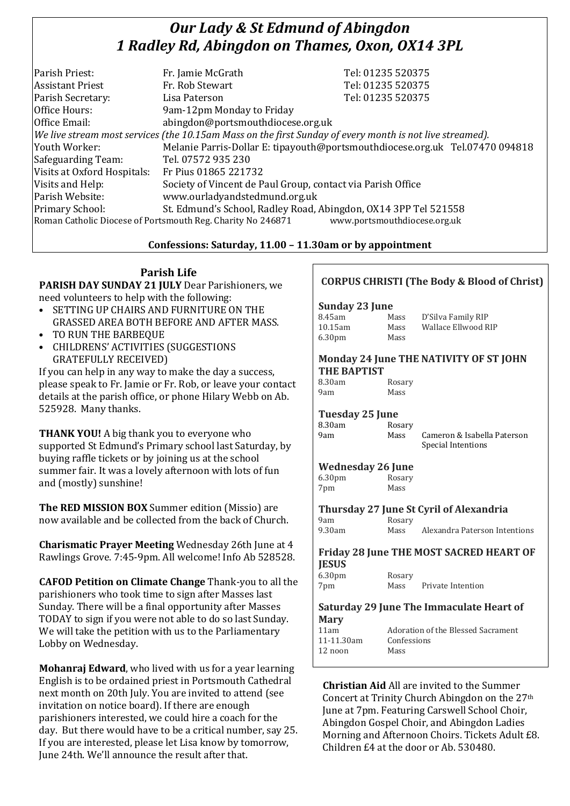# *Our Lady & St Edmund of Abingdon 1 Radley Rd, Abingdon on Thames, Oxon, OX14 3PL*

| Parish Priest:              | Fr. Jamie McGrath                                                                                        | Tel: 01235 520375                                                            |
|-----------------------------|----------------------------------------------------------------------------------------------------------|------------------------------------------------------------------------------|
| <b>Assistant Priest</b>     | Fr. Rob Stewart                                                                                          | Tel: 01235 520375                                                            |
| Parish Secretary:           | Lisa Paterson                                                                                            | Tel: 01235 520375                                                            |
| Office Hours:               | 9am-12pm Monday to Friday                                                                                |                                                                              |
| Office Email:               | abingdon@portsmouthdiocese.org.uk                                                                        |                                                                              |
|                             | We live stream most services (the 10.15am Mass on the first Sunday of every month is not live streamed). |                                                                              |
| Youth Worker:               |                                                                                                          | Melanie Parris-Dollar E: tipayouth@portsmouthdiocese.org.uk Tel.07470 094818 |
| Safeguarding Team:          | Tel. 07572 935 230                                                                                       |                                                                              |
| Visits at Oxford Hospitals: | Fr Pius 01865 221732                                                                                     |                                                                              |
| Visits and Help:            | Society of Vincent de Paul Group, contact via Parish Office                                              |                                                                              |
| Parish Website:             | www.ourladyandstedmund.org.uk                                                                            |                                                                              |
| Primary School:             | St. Edmund's School, Radley Road, Abingdon, OX14 3PP Tel 521558                                          |                                                                              |
|                             | Roman Catholic Diocese of Portsmouth Reg. Charity No 246871                                              | www.portsmouthdiocese.org.uk                                                 |

## **Confessions: Saturday, 11.00 – 11.30am or by appointment**

## **Parish Life**

**PARISH DAY SUNDAY 21 JULY** Dear Parishioners, we need volunteers to help with the following:

- SETTING UP CHAIRS AND FURNITURE ON THE GRASSED AREA BOTH BEFORE AND AFTER MASS.
- TO RUN THE BARBEQUE
- CHILDRENS' ACTIVITIES (SUGGESTIONS GRATEFULLY RECEIVED)

If you can help in any way to make the day a success, please speak to Fr. Jamie or Fr. Rob, or leave your contact details at the parish office, or phone Hilary Webb on Ab. 525928. Many thanks.

**THANK YOU!** A big thank you to everyone who supported St Edmund's Primary school last Saturday, by buying raffle tickets or by joining us at the school summer fair. It was a lovely afternoon with lots of fun and (mostly) sunshine!

**The RED MISSION BOX** Summer edition (Missio) are now available and be collected from the back of Church.

**Charismatic Prayer Meeting** Wednesday 26th June at 4 Rawlings Grove. 7:45-9pm. All welcome! Info Ab 528528.

**CAFOD Petition on Climate Change** Thank-you to all the parishioners who took time to sign after Masses last Sunday. There will be a final opportunity after Masses TODAY to sign if you were not able to do so last Sunday. We will take the petition with us to the Parliamentary Lobby on Wednesday.

**Mohanraj Edward**, who lived with us for a year learning English is to be ordained priest in Portsmouth Cathedral next month on 20th July. You are invited to attend (see invitation on notice board). If there are enough parishioners interested, we could hire a coach for the day. But there would have to be a critical number, say 25. If you are interested, please let Lisa know by tomorrow, June 24th. We'll announce the result after that.

## **CORPUS CHRISTI (The Body & Blood of Christ)**

## **Sunday 23 June**

| 8.45am             | Mass | D'Silva Family RIP  |
|--------------------|------|---------------------|
| 10.15am            | Mass | Wallace Ellwood RIP |
| 6.30 <sub>pm</sub> | Mass |                     |

#### **Monday 24 June THE NATIVITY OF ST JOHN THE BAPTIST**

| 8.30am | Rosary |
|--------|--------|
| 9am    | Mass   |

## **Tuesday 25 June**

| 8.30am | Rosary |                             |
|--------|--------|-----------------------------|
| 9am    | Mass   | Cameron & Isabella Paterson |
|        |        | Special Intentions          |

## **Wednesday 26 June**

| 6.30 <sub>pm</sub> | Rosary |
|--------------------|--------|
| 7pm                | Mass   |

**Thursday 27 June St Cyril of Alexandria** 9am Rosary<br>9.30am Mass

Mass Alexandra Paterson Intentions

## **Friday 28 June THE MOST SACRED HEART OF JESUS**

| 6.30 <sub>pm</sub> | Rosary |                   |
|--------------------|--------|-------------------|
| 7pm                | Mass   | Private Intention |

## **Saturday 29 June The Immaculate Heart of**

| <b>Mary</b> |                                    |
|-------------|------------------------------------|
| 11am        | Adoration of the Blessed Sacrament |
| 11-11.30am  | Confessions                        |
| 12 noon     | Mass                               |
|             |                                    |

**Christian Aid** All are invited to the Summer Concert at Trinity Church Abingdon on the 27th June at 7pm. Featuring Carswell School Choir, Abingdon Gospel Choir, and Abingdon Ladies Morning and Afternoon Choirs. Tickets Adult £8. Children £4 at the door or Ab. 530480.